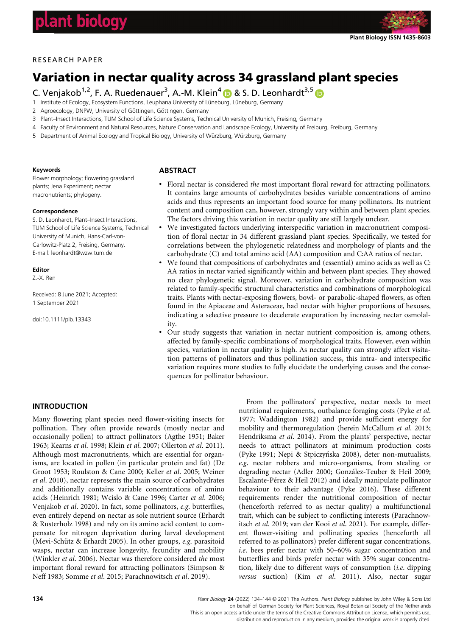

# RESEARCH PAPER

# Variation in nectar quality across 34 grassland plant species

C. Venjakob<sup>1,2</sup>, F. A. Ruedenauer<sup>3</sup>, A.-M. Klein<sup>[4](https://orcid.org/0000-0003-2139-8575)</sup> D & S. D. Leonhardt<sup>3,[5](https://orcid.org/0000-0002-8154-9569)</sup>

- 1 Institute of Ecology, Ecosystem Functions, Leuphana University of Lüneburg, Lüneburg, Germany
- 2 Agroecology, DNPW, University of Göttingen, Göttingen, Germany
- 3 Plant–Insect Interactions, TUM School of Life Science Systems, Technical University of Munich, Freising, Germany
- 4 Faculty of Environment and Natural Resources, Nature Conservation and Landscape Ecology, University of Freiburg, Freiburg, Germany
- 5 Department of Animal Ecology and Tropical Biology, University of Würzburg, Würzburg, Germany

#### Keywords

Flower morphology; flowering grassland plants; Jena Experiment; nectar macronutrients; phylogeny.

#### Correspondence

S. D. Leonhardt, Plant–Insect Interactions, TUM School of Life Science Systems, Technical University of Munich, Hans-Carl-von-Carlowitz-Platz 2, Freising, Germany. E-mail: [leonhardt@wzw.tum.de](mailto:)

## Editor

Z.-X. Ren

Received: 8 June 2021; Accepted: 1 September 2021

doi:10.1111/plb.13343

# **ABSTRACT**

- Floral nectar is considered the most important floral reward for attracting pollinators. It contains large amounts of carbohydrates besides variable concentrations of amino acids and thus represents an important food source for many pollinators. Its nutrient content and composition can, however, strongly vary within and between plant species. The factors driving this variation in nectar quality are still largely unclear.
- We investigated factors underlying interspecific variation in macronutrient composition of floral nectar in 34 different grassland plant species. Specifically, we tested for correlations between the phylogenetic relatedness and morphology of plants and the carbohydrate (C) and total amino acid (AA) composition and C:AA ratios of nectar.
- We found that compositions of carbohydrates and (essential) amino acids as well as C: AA ratios in nectar varied significantly within and between plant species. They showed no clear phylogenetic signal. Moreover, variation in carbohydrate composition was related to family-specific structural characteristics and combinations of morphological traits. Plants with nectar-exposing flowers, bowl- or parabolic-shaped flowers, as often found in the Apiaceae and Asteraceae, had nectar with higher proportions of hexoses, indicating a selective pressure to decelerate evaporation by increasing nectar osmolality.
- Our study suggests that variation in nectar nutrient composition is, among others, affected by family-specific combinations of morphological traits. However, even within species, variation in nectar quality is high. As nectar quality can strongly affect visitation patterns of pollinators and thus pollination success, this intra- and interspecific variation requires more studies to fully elucidate the underlying causes and the consequences for pollinator behaviour.

## INTRODUCTION

Many flowering plant species need flower-visiting insects for pollination. They often provide rewards (mostly nectar and occasionally pollen) to attract pollinators (Agthe 1951; Baker 1963; Kearns et al. 1998; Klein et al. 2007; Ollerton et al. 2011). Although most macronutrients, which are essential for organisms, are located in pollen (in particular protein and fat) (De Groot 1953; Roulston & Cane 2000; Keller et al. 2005; Weiner et al. 2010), nectar represents the main source of carbohydrates and additionally contains variable concentrations of amino acids (Heinrich 1981; Wcislo & Cane 1996; Carter et al. 2006; Venjakob et al. 2020). In fact, some pollinators, e.g. butterflies, even entirely depend on nectar as sole nutrient source (Erhardt & Rusterholz 1998) and rely on its amino acid content to compensate for nitrogen deprivation during larval development (Mevi-Schütz & Erhardt 2005). In other groups, e.g. parasitoid wasps, nectar can increase longevity, fecundity and mobility (Winkler et al. 2006). Nectar was therefore considered the most important floral reward for attracting pollinators (Simpson & Neff 1983; Somme et al. 2015; Parachnowitsch et al. 2019).

From the pollinators' perspective, nectar needs to meet nutritional requirements, outbalance foraging costs (Pyke et al. 1977; Waddington 1982) and provide sufficient energy for mobility and thermoregulation (herein McCallum et al. 2013; Hendriksma et al. 2014). From the plants' perspective, nectar needs to attract pollinators at minimum production costs (Pyke 1991; Nepi & Stpiczyńska 2008), deter non-mutualists, e.g. nectar robbers and micro-organisms, from stealing or degrading nectar (Adler 2000; González-Teuber & Heil 2009; Escalante-Pérez & Heil 2012) and ideally manipulate pollinator behaviour to their advantage (Pyke 2016). These different requirements render the nutritional composition of nectar (henceforth referred to as nectar quality) a multifunctional trait, which can be subject to conflicting interests (Parachnowitsch et al. 2019; van der Kooi et al. 2021). For example, different flower-visiting and pollinating species (henceforth all referred to as pollinators) prefer different sugar concentrations, i.e. bees prefer nectar with 50–60% sugar concentration and butterflies and birds prefer nectar with 35% sugar concentration, likely due to different ways of consumption  $(i.e.$  dipping versus suction) (Kim et al. 2011). Also, nectar sugar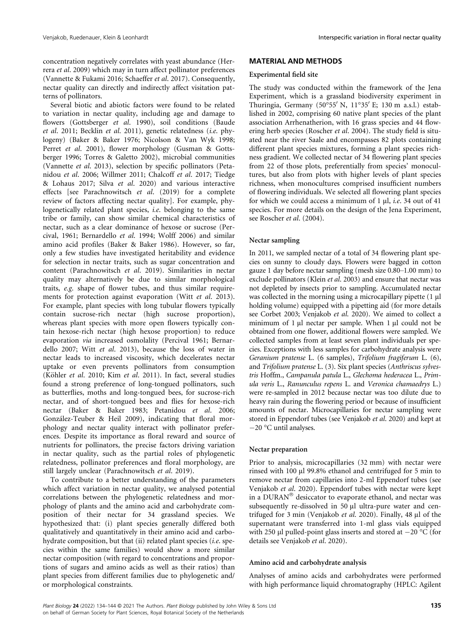concentration negatively correlates with yeast abundance (Herrera et al. 2009) which may in turn affect pollinator preferences (Vannette & Fukami 2016; Schaeffer et al. 2017). Consequently, nectar quality can directly and indirectly affect visitation patterns of pollinators.

Several biotic and abiotic factors were found to be related to variation in nectar quality, including age and damage to flowers (Gottsberger et al. 1990), soil conditions (Baude et al. 2011; Becklin et al. 2011), genetic relatedness (i.e. phylogeny) (Baker & Baker 1976; Nicolson & Van Wyk 1998; Perret et al. 2001), flower morphology (Gusman & Gottsberger 1996; Torres & Galetto 2002), microbial communities (Vannette et al. 2013), selection by specific pollinators (Petanidou et al. 2006; Willmer 2011; Chalcoff et al. 2017; Tiedge & Lohaus 2017; Silva et al. 2020) and various interactive effects [see Parachnowitsch et al. (2019) for a complete review of factors affecting nectar quality]. For example, phylogenetically related plant species, i.e. belonging to the same tribe or family, can show similar chemical characteristics of nectar, such as a clear dominance of hexose or sucrose (Percival, 1961; Bernardello et al. 1994; Wolff 2006) and similar amino acid profiles (Baker & Baker 1986). However, so far, only a few studies have investigated heritability and evidence for selection in nectar traits, such as sugar concentration and content (Parachnowitsch et al. 2019). Similarities in nectar quality may alternatively be due to similar morphological traits, e.g. shape of flower tubes, and thus similar requirements for protection against evaporation (Witt et al. 2013). For example, plant species with long tubular flowers typically contain sucrose-rich nectar (high sucrose proportion), whereas plant species with more open flowers typically contain hexose-rich nectar (high hexose proportion) to reduce evaporation via increased osmolality (Percival 1961; Bernardello 2007; Witt et al. 2013), because the loss of water in nectar leads to increased viscosity, which decelerates nectar uptake or even prevents pollinators from consumption (Köhler et al. 2010; Kim et al. 2011). In fact, several studies found a strong preference of long-tongued pollinators, such as butterflies, moths and long-tongued bees, for sucrose-rich nectar, and of short-tongued bees and flies for hexose-rich nectar (Baker & Baker 1983; Petanidou et al. 2006; González-Teuber & Heil 2009), indicating that floral morphology and nectar quality interact with pollinator preferences. Despite its importance as floral reward and source of nutrients for pollinators, the precise factors driving variation in nectar quality, such as the partial roles of phylogenetic relatedness, pollinator preferences and floral morphology, are still largely unclear (Parachnowitsch et al. 2019).

To contribute to a better understanding of the parameters which affect variation in nectar quality, we analysed potential correlations between the phylogenetic relatedness and morphology of plants and the amino acid and carbohydrate composition of their nectar for 34 grassland species. We hypothesized that: (i) plant species generally differed both qualitatively and quantitatively in their amino acid and carbohydrate composition, but that (ii) related plant species (i.e. species within the same families) would show a more similar nectar composition (with regard to concentrations and proportions of sugars and amino acids as well as their ratios) than plant species from different families due to phylogenetic and/ or morphological constraints.

## MATERIAL AND METHODS

### Experimental field site

The study was conducted within the framework of the Jena Experiment, which is a grassland biodiversity experiment in Thuringia, Germany (50°55' N, 11°35' E; 130 m a.s.l.) established in 2002, comprising 60 native plant species of the plant association Arrhenatherion, with 16 grass species and 44 flowering herb species (Roscher et al. 2004). The study field is situated near the river Saale and encompasses 82 plots containing different plant species mixtures, forming a plant species richness gradient. We collected nectar of 34 flowering plant species from 22 of those plots, preferentially from species' monocultures, but also from plots with higher levels of plant species richness, when monocultures comprised insufficient numbers of flowering individuals. We selected all flowering plant species for which we could access a minimum of 1  $\mu$ , *i.e.* 34 out of 41 species. For more details on the design of the Jena Experiment, see Roscher et al. (2004).

## Nectar sampling

In 2011, we sampled nectar of a total of 34 flowering plant species on sunny to cloudy days. Flowers were bagged in cotton gauze 1 day before nectar sampling (mesh size 0.80–1.00 mm) to exclude pollinators (Klein et al. 2003) and ensure that nectar was not depleted by insects prior to sampling. Accumulated nectar was collected in the morning using a microcapillary pipette (1 µl) holding volume) equipped with a pipetting aid (for more details see Corbet 2003; Venjakob et al. 2020). We aimed to collect a minimum of 1 µl nectar per sample. When 1 µl could not be obtained from one flower, additional flowers were sampled. We collected samples from at least seven plant individuals per species. Exceptions with less samples for carbohydrate analysis were Geranium pratense L. (6 samples), Trifolium fragiferum L. (6), and Trifolium pratense L. (3). Six plant species (Anthriscus sylvestris Hoffm., Campanula patula L., Glechoma hederacea L., Primula veris L., Ranunculus repens L. and Veronica chamaedrys L.) were re-sampled in 2012 because nectar was too dilute due to heavy rain during the flowering period or because of insufficient amounts of nectar. Microcapillaries for nectar sampling were stored in Eppendorf tubes (see Venjakob et al. 2020) and kept at -20 °C until analyses.

## Nectar preparation

Prior to analysis, microcapillaries (32 mm) with nectar were rinsed with 100 µl 99.8% ethanol and centrifuged for 5 min to remove nectar from capillaries into 2-ml Eppendorf tubes (see Venjakob et al. 2020). Eppendorf tubes with nectar were kept in a DURAN<sup>®</sup> desiccator to evaporate ethanol, and nectar was subsequently re-dissolved in 50 µl ultra-pure water and centrifuged for 3 min (Venjakob et al. 2020). Finally, 48 µl of the supernatant were transferred into 1-ml glass vials equipped with 250  $\mu$ l pulled-point glass inserts and stored at  $-20$  °C (for details see Venjakob et al. 2020).

#### Amino acid and carbohydrate analysis

Analyses of amino acids and carbohydrates were performed with high performance liquid chromatography (HPLC: Agilent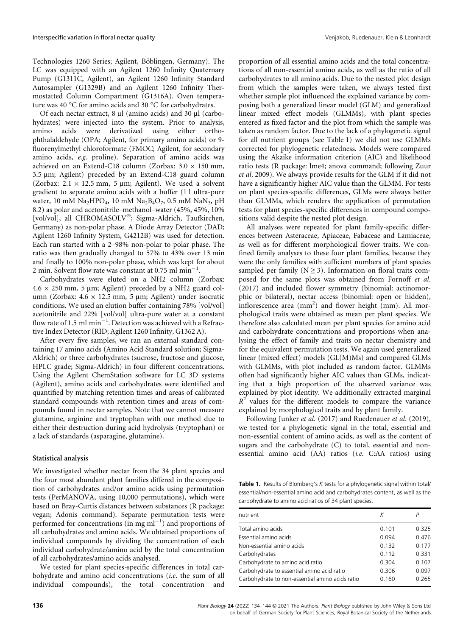Technologies 1260 Series; Agilent, Böblingen, Germany). The LC was equipped with an Agilent 1260 Infinity Quaternary Pump (G1311C, Agilent), an Agilent 1260 Infinity Standard Autosampler (G1329B) and an Agilent 1260 Infinity Thermostatted Column Compartment (G1316A). Oven temperature was 40 °C for amino acids and 30 °C for carbohydrates.

Of each nectar extract,  $8 \mu l$  (amino acids) and  $30 \mu l$  (carbohydrates) were injected into the system. Prior to analysis, amino acids were derivatized using either orthophthalaldehyde (OPA; Agilent, for primary amino acids) or 9 fluorenylmethyl chloroformate (FMOC; Agilent, for secondary amino acids, e.g. proline). Separation of amino acids was achieved on an Extend-C18 column (Zorbax:  $3.0 \times 150$  mm, 3.5 µm; Agilent) preceded by an Extend-C18 guard column (Zorbax:  $2.1 \times 12.5$  mm, 5 µm; Agilent). We used a solvent gradient to separate amino acids with a buffer (1 l ultra-pure water, 10 mM Na<sub>2</sub>HPO<sub>4</sub>, 10 mM Na<sub>2</sub>B<sub>4</sub>O<sub>7</sub>, 0.5 mM NaN<sub>3</sub>, pH 8.2) as polar and acetonitrile–methanol–water (45%, 45%, 10% [vol/vol], all CHROMASOLV<sup>®</sup>; Sigma-Aldrich, Taufkirchen, Germany) as non-polar phase. A Diode Array Detector (DAD; Agilent 1260 Infinity System, G4212B) was used for detection. Each run started with a 2–98% non-polar to polar phase. The ratio was then gradually changed to 57% to 43% over 13 min and finally to 100% non-polar phase, which was kept for about 2 min. Solvent flow rate was constant at 0.75 ml min-1 .

Carbohydrates were eluted on a NH2 column (Zorbax:  $4.6 \times 250$  mm, 5 µm; Agilent) preceded by a NH2 guard column (Zorbax:  $4.6 \times 12.5$  mm,  $5 \mu m$ ; Agilent) under isocratic conditions. We used an elution buffer containing 78% [vol/vol] acetonitrile and 22% [vol/vol] ultra-pure water at a constant flow rate of 1.5 ml  $\text{min}^{-1}$ . Detection was achieved with a Refractive Index Detector (RID; Agilent 1260 Infinity, G1362 A).

After every five samples, we ran an external standard containing 17 amino acids (Amino Acid Standard solution; Sigma-Aldrich) or three carbohydrates (sucrose, fructose and glucose, HPLC grade; Sigma-Aldrich) in four different concentrations. Using the Agilent ChemStation software for LC 3D systems (Agilent), amino acids and carbohydrates were identified and quantified by matching retention times and areas of calibrated standard compounds with retention times and areas of compounds found in nectar samples. Note that we cannot measure glutamine, arginine and tryptophan with our method due to either their destruction during acid hydrolysis (tryptophan) or a lack of standards (asparagine, glutamine).

#### Statistical analysis

We investigated whether nectar from the 34 plant species and the four most abundant plant families differed in the composition of carbohydrates and/or amino acids using permutation tests (PerMANOVA, using 10,000 permutations), which were based on Bray-Curtis distances between substances (R package: vegan; Adonis command). Separate permutation tests were performed for concentrations (in mg  $ml^{-1}$ ) and proportions of all carbohydrates and amino acids. We obtained proportions of individual compounds by dividing the concentration of each individual carbohydrate/amino acid by the total concentration of all carbohydrates/amino acids analysed.

We tested for plant species-specific differences in total carbohydrate and amino acid concentrations (i.e. the sum of all individual compounds), the total concentration and proportion of all essential amino acids and the total concentrations of all non-essential amino acids, as well as the ratio of all carbohydrates to all amino acids. Due to the nested plot design from which the samples were taken, we always tested first whether sample plot influenced the explained variance by composing both a generalized linear model (GLM) and generalized linear mixed effect models (GLMMs), with plant species entered as fixed factor and the plot from which the sample was taken as random factor. Due to the lack of a phylogenetic signal for all nutrient groups (see Table 1) we did not use GLMMs corrected for phylogenetic relatedness. Models were compared using the Akaike information criterion (AIC) and likelihood ratio tests (R package: lme4; anova command; following Zuur et al. 2009). We always provide results for the GLM if it did not have a significantly higher AIC value than the GLMM. For tests on plant species-specific differences, GLMs were always better than GLMMs, which renders the application of permutation tests for plant species-specific differences in compound compositions valid despite the nested plot design.

All analyses were repeated for plant family-specific differences between Asteraceae, Apiaceae, Fabaceae and Lamiaceae, as well as for different morphological flower traits. We confined family analyses to these four plant families, because they were the only families with sufficient numbers of plant species sampled per family ( $N \geq 3$ ). Information on floral traits composed for the same plots was obtained from Fornoff et al. (2017) and included flower symmetry (binomial: actinomorphic or bilateral), nectar access (binomial: open or hidden), inflorescence area (mm<sup>2</sup>) and flower height (mm). All morphological traits were obtained as mean per plant species. We therefore also calculated mean per plant species for amino acid and carbohydrate concentrations and proportions when analysing the effect of family and traits on nectar chemistry and for the equivalent permutation tests. We again used generalized linear (mixed effect) models (GL(M)Ms) and compared GLMs with GLMMs, with plot included as random factor. GLMMs often had significantly higher AIC values than GLMs, indicating that a high proportion of the observed variance was explained by plot identity. We additionally extracted marginal  $R<sup>2</sup>$  values for the different models to compare the variance explained by morphological traits and by plant family.

Following Junker et al. (2017) and Ruedenauer et al. (2019), we tested for a phylogenetic signal in the total, essential and non-essential content of amino acids, as well as the content of sugars and the carbohydrate (C) to total, essential and nonessential amino acid (AA) ratios (i.e. C:AA ratios) using

Table 1. Results of Blomberg's K tests for a phylogenetic signal within total/ essential/non-essential amino acid and carbohydrates content, as well as the carbohydrate to amino acid ratios of 34 plant species.

| nutrient                                        | К     |       |
|-------------------------------------------------|-------|-------|
| Total amino acids                               | 0.101 | 0.325 |
| Essential amino acids                           | 0.094 | 0.476 |
| Non-essential amino acids                       | 0.132 | 0.177 |
| Carbohydrates                                   | 0.112 | 0.331 |
| Carbohydrate to amino acid ratio                | 0.304 | 0.107 |
| Carbohydrate to essential amino acid ratio      | 0.306 | 0.097 |
| Carbohydrate to non-essential amino acids ratio | 0.160 | 0.265 |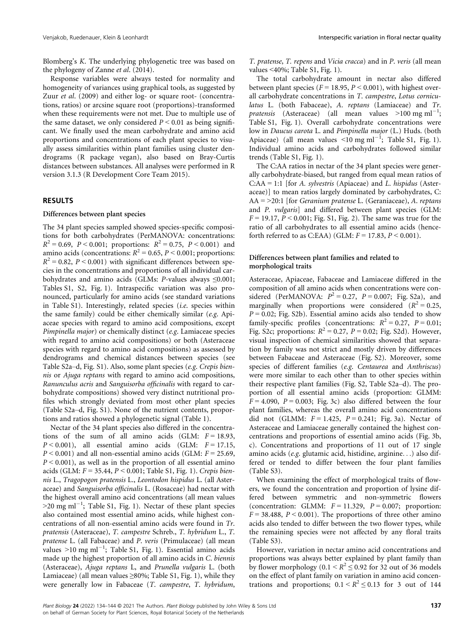Blomberg's K. The underlying phylogenetic tree was based on the phylogeny of Zanne et al. (2014).

Response variables were always tested for normality and homogeneity of variances using graphical tools, as suggested by Zuur et al. (2009) and either log- or square root- (concentrations, ratios) or arcsine square root (proportions)-transformed when these requirements were not met. Due to multiple use of the same dataset, we only considered  $P < 0.01$  as being significant. We finally used the mean carbohydrate and amino acid proportions and concentrations of each plant species to visually assess similarities within plant families using cluster dendrograms (R package vegan), also based on Bray-Curtis distances between substances. All analyses were performed in R version 3.1.3 (R Development Core Team 2015).

## RESULTS

## Differences between plant species

The 34 plant species sampled showed species-specific compositions for both carbohydrates (PerMANOVA: concentrations:  $R^{2} = 0.69$ ,  $P < 0.001$ ; proportions:  $R^{2} = 0.75$ ,  $P < 0.001$ ) and amino acids (concentrations:  $R^2 = 0.65$ ,  $P \le 0.001$ ; proportions:  $R^2 = 0.82$ ,  $P < 0.001$ ) with significant differences between species in the concentrations and proportions of all individual carbohydrates and amino acids (GLMs: P-values always ≤0.001; Tables S1, S2, Fig. 1). Intraspecific variation was also pronounced, particularly for amino acids (see standard variations in Table S1). Interestingly, related species (i.e. species within the same family) could be either chemically similar (e.g. Apiaceae species with regard to amino acid compositions, except Pimpinella major) or chemically distinct (e.g. Lamiaceae species with regard to amino acid compositions) or both (Asteraceae species with regard to amino acid compositions) as assessed by dendrograms and chemical distances between species (see Table S2a–d, Fig. S1). Also, some plant species (e.g. Crepis biennis or Ajuga reptans with regard to amino acid compositions, Ranunculus acris and Sanguisorba officinalis with regard to carbohydrate compositions) showed very distinct nutritional profiles which strongly deviated from most other plant species (Table S2a–d, Fig. S1). None of the nutrient contents, proportions and ratios showed a phylogenetic signal (Table 1).

Nectar of the 34 plant species also differed in the concentrations of the sum of all amino acids (GLM:  $F = 18.93$ ,  $P < 0.001$ ), all essential amino acids (GLM:  $F = 17.15$ ,  $P < 0.001$ ) and all non-essential amino acids (GLM:  $F = 25.69$ ,  $P < 0.001$ ), as well as in the proportion of all essential amino acids (GLM:  $F = 35.44$ ,  $P < 0.001$ ; Table S1, Fig. 1). Crepis biennis L., Tragopogon pratensis L., Leontodon hispidus L. (all Asteraceae) and Sanguisorba officinalis L. (Rosaceae) had nectar with the highest overall amino acid concentrations (all mean values  $>$ 20 mg ml<sup>-1</sup>; Table S1, Fig. 1). Nectar of these plant species also contained most essential amino acids, while highest concentrations of all non-essential amino acids were found in Tr. pratensis (Asteraceae), T. campestre Schreb., T. hybridum L., T. pratense L. (all Fabaceae) and P. veris (Primulaceae) (all mean values >10 mg ml<sup>-1</sup>; Table S1, Fig. 1). Essential amino acids made up the highest proportion of all amino acids in C. biennis (Asteraceae), Ajuga reptans L, and Prunella vulgaris L. (both Lamiaceae) (all mean values  $\geq 80\%$ ; Table S1, Fig. 1), while they were generally low in Fabaceae (T. campestre, T. hybridum,

T. pratense, T. repens and Vicia cracca) and in P. veris (all mean values <40%; Table S1, Fig. 1).

The total carbohydrate amount in nectar also differed between plant species ( $F = 18.95$ ,  $P < 0.001$ ), with highest overall carbohydrate concentrations in T. campestre, Lotus corniculatus L. (both Fabaceae), A. reptans (Lamiaceae) and Tr. pratensis (Asteraceae) (all mean values  $>100$  mg ml<sup>-1</sup>; Table S1, Fig. 1). Overall carbohydrate concentrations were low in Daucus carota L. and Pimpinella major (L.) Huds. (both Apiaceae) (all mean values  $\leq 10$  mg ml<sup>-1</sup>; Table S1, Fig. 1). Individual amino acids and carbohydrates followed similar trends (Table S1, Fig. 1).

The C:AA ratios in nectar of the 34 plant species were generally carbohydrate-biased, but ranged from equal mean ratios of  $C:AA = 1:1$  [for A. sylvestris (Apiaceae) and L. hispidus (Asteraceae)] to mean ratios largely dominated by carbohydrates, C:  $AA = >20:1$  [for *Geranium pratense L.* (Geraniaceae), A. reptans and P. vulgaris] and differed between plant species (GLM:  $F = 19.17$ ,  $P < 0.001$ ; Fig. S1, Fig. 2). The same was true for the ratio of all carbohydrates to all essential amino acids (henceforth referred to as C:EAA) (GLM:  $F = 17.83$ ,  $P < 0.001$ ).

## Differences between plant families and related to morphological traits

Asteraceae, Apiaceae, Fabaceae and Lamiaceae differed in the composition of all amino acids when concentrations were considered (PerMANOVA:  $P^2 = 0.27$ ,  $P = 0.007$ ; Fig. S2a), and marginally when proportions were considered  $(R^2 = 0.25,$  $P = 0.02$ ; Fig. S2b). Essential amino acids also tended to show family-specific profiles (concentrations:  $R^2 = 0.27$ ,  $P = 0.01$ ; Fig. S2c; proportions:  $R^2 = 0.27$ ,  $P = 0.02$ ; Fig. S2d). However, visual inspection of chemical similarities showed that separation by family was not strict and mostly driven by differences between Fabaceae and Asteraceae (Fig. S2). Moreover, some species of different families (e.g. Centaurea and Anthriscus) were more similar to each other than to other species within their respective plant families (Fig. S2, Table S2a–d). The proportion of all essential amino acids (proportion: GLMM:  $F = 4.090$ ,  $P = 0.003$ ; Fig. 3c) also differed between the four plant families, whereas the overall amino acid concentrations did not (GLMM:  $F = 1.425$ ,  $P = 0.241$ ; Fig. 3a). Nectar of Asteraceae and Lamiaceae generally contained the highest concentrations and proportions of essential amino acids (Fig. 3b, c). Concentrations and proportions of 11 out of 17 single amino acids (e.g. glutamic acid, histidine, arginine...) also differed or tended to differ between the four plant families (Table S3).

When examining the effect of morphological traits of flowers, we found the concentration and proportion of lysine differed between symmetric and non-symmetric flowers (concentration: GLMM:  $F = 11.329$ ,  $P = 0.007$ ; proportion:  $F = 38.488$ ,  $P \le 0.001$ ). The proportions of three other amino acids also tended to differ between the two flower types, while the remaining species were not affected by any floral traits (Table S3).

However, variation in nectar amino acid concentrations and proportions was always better explained by plant family than by flower morphology (0.1 <  $R^2 \le 0.92$  for 32 out of 36 models on the effect of plant family on variation in amino acid concentrations and proportions;  $0.1 \le R^2 \le 0.13$  for 3 out of 144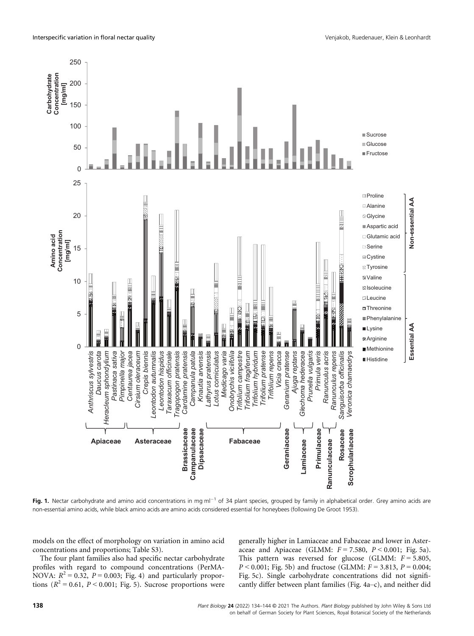

Fig. 1. Nectar carbohydrate and amino acid concentrations in mg ml<sup>-1</sup> of 34 plant species, grouped by family in alphabetical order. Grey amino acids are non-essential amino acids, while black amino acids are amino acids considered essential for honeybees (following De Groot 1953).

models on the effect of morphology on variation in amino acid concentrations and proportions; Table S3).

The four plant families also had specific nectar carbohydrate profiles with regard to compound concentrations (PerMA-NOVA:  $R^2 = 0.32$ ,  $P = 0.003$ ; Fig. 4) and particularly proportions ( $R^2$  = 0.61,  $P$  < 0.001; Fig. 5). Sucrose proportions were generally higher in Lamiaceae and Fabaceae and lower in Asteraceae and Apiaceae (GLMM:  $F = 7.580$ ,  $P < 0.001$ ; Fig. 5a). This pattern was reversed for glucose (GLMM:  $F = 5.805$ ,  $P < 0.001$ ; Fig. 5b) and fructose (GLMM:  $F = 3.813$ ,  $P = 0.004$ ; Fig. 5c). Single carbohydrate concentrations did not significantly differ between plant families (Fig. 4a–c), and neither did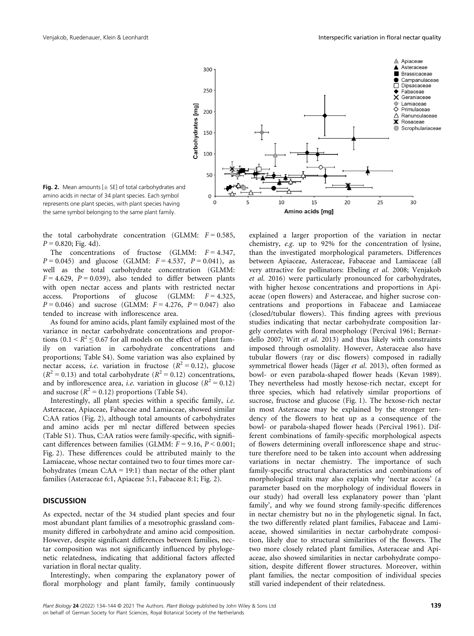

Fig. 2. Mean amounts  $[\pm S \epsilon]$  of total carbohydrates and amino acids in nectar of 34 plant species. Each symbol represents one plant species, with plant species having the same symbol belonging to the same plant family.

the total carbohydrate concentration (GLMM:  $F = 0.585$ ,  $P = 0.820$ ; Fig. 4d).

The concentrations of fructose (GLMM:  $F = 4.347$ ,  $P = 0.045$ ) and glucose (GLMM:  $F = 4.537$ ,  $P = 0.041$ ), as well as the total carbohydrate concentration (GLMM:  $F = 4.629$ ,  $P = 0.039$ ), also tended to differ between plants with open nectar access and plants with restricted nectar access. Proportions of glucose (GLMM:  $F = 4.325$ ,  $P = 0.046$ ) and sucrose (GLMM:  $F = 4.276$ ,  $P = 0.047$ ) also tended to increase with inflorescence area.

As found for amino acids, plant family explained most of the variance in nectar carbohydrate concentrations and proportions  $(0.1 \le R^2 \le 0.67$  for all models on the effect of plant family on variation in carbohydrate concentrations and proportions; Table S4). Some variation was also explained by nectar access, *i.e.* variation in fructose  $(R^2 = 0.12)$ , glucose  $(R^2 = 0.13)$  and total carbohydrate  $(R^2 = 0.12)$  concentrations, and by inflorescence area, *i.e.* variation in glucose ( $R^2 = 0.12$ ) and sucrose  $(R^2 = 0.12)$  proportions (Table S4).

Interestingly, all plant species within a specific family, i.e. Asteraceae, Apiaceae, Fabaceae and Lamiaceae, showed similar C:AA ratios (Fig. 2), although total amounts of carbohydrates and amino acids per ml nectar differed between species (Table S1). Thus, C:AA ratios were family-specific, with significant differences between families (GLMM:  $F = 9.16$ ,  $P < 0.001$ ; Fig. 2). These differences could be attributed mainly to the Lamiaceae, whose nectar contained two to four times more carbohydrates (mean C:AA = 19:1) than nectar of the other plant families (Asteraceae 6:1, Apiaceae 5:1, Fabaceae 8:1; Fig. 2).

#### **DISCUSSION**

As expected, nectar of the 34 studied plant species and four most abundant plant families of a mesotrophic grassland community differed in carbohydrate and amino acid composition. However, despite significant differences between families, nectar composition was not significantly influenced by phylogenetic relatedness, indicating that additional factors affected variation in floral nectar quality.

Interestingly, when comparing the explanatory power of floral morphology and plant family, family continuously

explained a larger proportion of the variation in nectar chemistry, e.g. up to 92% for the concentration of lysine, than the investigated morphological parameters. Differences between Apiaceae, Asteraceae, Fabaceae and Lamiaceae (all very attractive for pollinators: Ebeling et al. 2008; Venjakob et al. 2016) were particularly pronounced for carbohydrates, with higher hexose concentrations and proportions in Apiaceae (open flowers) and Asteraceae, and higher sucrose concentrations and proportions in Fabaceae and Lamiaceae (closed/tubular flowers). This finding agrees with previous studies indicating that nectar carbohydrate composition largely correlates with floral morphology (Percival 1961; Bernardello 2007; Witt et al. 2013) and thus likely with constraints imposed through osmolality. However, Asteraceae also have tubular flowers (ray or disc flowers) composed in radially symmetrical flower heads (Jäger et al. 2013), often formed as bowl- or even parabola-shaped flower heads (Kevan 1989). They nevertheless had mostly hexose-rich nectar, except for three species, which had relatively similar proportions of sucrose, fructose and glucose (Fig. 1). The hexose-rich nectar in most Asteraceae may be explained by the stronger tendency of the flowers to heat up as a consequence of the bowl- or parabola-shaped flower heads (Percival 1961). Different combinations of family-specific morphological aspects of flowers determining overall inflorescence shape and structure therefore need to be taken into account when addressing variations in nectar chemistry. The importance of such family-specific structural characteristics and combinations of morphological traits may also explain why 'nectar access' (a parameter based on the morphology of individual flowers in our study) had overall less explanatory power than 'plant family', and why we found strong family-specific differences in nectar chemistry but no in the phylogenetic signal. In fact, the two differently related plant families, Fabaceae and Lamiaceae, showed similarities in nectar carbohydrate composition, likely due to structural similarities of the flowers. The two more closely related plant families, Asteraceae and Apiaceae, also showed similarities in nectar carbohydrate composition, despite different flower structures. Moreover, within plant families, the nectar composition of individual species still varied independent of their relatedness.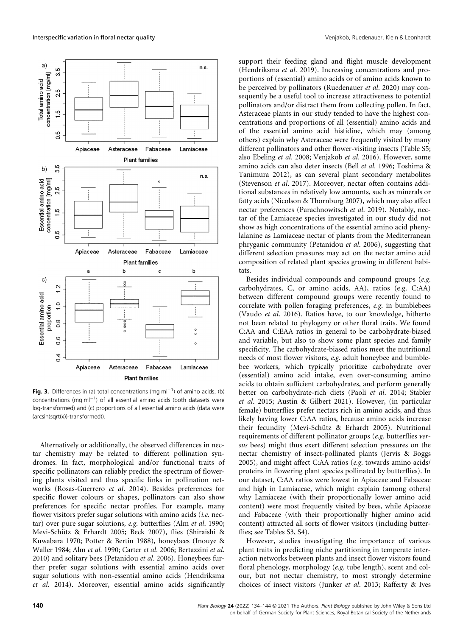

Fig. 3. Differences in (a) total concentrations (mg ml<sup>-1</sup>) of amino acids, (b) concentrations (mg m $I^{-1}$ ) of all essential amino acids (both datasets were log-transformed) and (c) proportions of all essential amino acids (data were (arcsin(sqrt(x))-transformed)).

Alternatively or additionally, the observed differences in nectar chemistry may be related to different pollination syndromes. In fact, morphological and/or functional traits of specific pollinators can reliably predict the spectrum of flowering plants visited and thus specific links in pollination networks (Rosas-Guerrero et al. 2014). Besides preferences for specific flower colours or shapes, pollinators can also show preferences for specific nectar profiles. For example, many flower visitors prefer sugar solutions with amino acids *(i.e. nec*tar) over pure sugar solutions, e.g. butterflies (Alm et al. 1990; Mevi-Schütz & Erhardt 2005; Beck 2007), flies (Shiraishi & Kuwabara 1970; Potter & Bertin 1988), honeybees (Inouye & Waller 1984; Alm et al. 1990; Carter et al. 2006; Bertazzini et al. 2010) and solitary bees (Petanidou et al. 2006). Honeybees further prefer sugar solutions with essential amino acids over sugar solutions with non-essential amino acids (Hendriksma et al. 2014). Moreover, essential amino acids significantly

support their feeding gland and flight muscle development (Hendriksma et al. 2019). Increasing concentrations and proportions of (essential) amino acids or of amino acids known to be perceived by pollinators (Ruedenauer et al. 2020) may consequently be a useful tool to increase attractiveness to potential pollinators and/or distract them from collecting pollen. In fact, Asteraceae plants in our study tended to have the highest concentrations and proportions of all (essential) amino acids and of the essential amino acid histidine, which may (among others) explain why Asteraceae were frequently visited by many different pollinators and other flower-visiting insects (Table S5; also Ebeling et al. 2008; Venjakob et al. 2016). However, some amino acids can also deter insects (Bell et al. 1996; Toshima & Tanimura 2012), as can several plant secondary metabolites (Stevenson et al. 2017). Moreover, nectar often contains additional substances in relatively low amounts, such as minerals or fatty acids (Nicolson & Thornburg 2007), which may also affect nectar preferences (Parachnowitsch et al. 2019). Notably, nectar of the Lamiaceae species investigated in our study did not show as high concentrations of the essential amino acid phenylalanine as Lamiaceae nectar of plants from the Mediterranean phryganic community (Petanidou et al. 2006), suggesting that different selection pressures may act on the nectar amino acid composition of related plant species growing in different habitats.

Besides individual compounds and compound groups (e.g. carbohydrates, C, or amino acids, AA), ratios (e.g. C:AA) between different compound groups were recently found to correlate with pollen foraging preferences, e.g. in bumblebees (Vaudo et al. 2016). Ratios have, to our knowledge, hitherto not been related to phylogeny or other floral traits. We found C:AA and C:EAA ratios in general to be carbohydrate-biased and variable, but also to show some plant species and family specificity. The carbohydrate-biased ratios meet the nutritional needs of most flower visitors, e.g. adult honeybee and bumblebee workers, which typically prioritize carbohydrate over (essential) amino acid intake, even over-consuming amino acids to obtain sufficient carbohydrates, and perform generally better on carbohydrate-rich diets (Paoli et al. 2014; Stabler et al. 2015; Austin & Gilbert 2021). However, (in particular female) butterflies prefer nectars rich in amino acids, and thus likely having lower C:AA ratios, because amino acids increase their fecundity (Mevi-Schütz & Erhardt 2005). Nutritional requirements of different pollinator groups (e.g. butterflies versus bees) might thus exert different selection pressures on the nectar chemistry of insect-pollinated plants (Jervis & Boggs 2005), and might affect C:AA ratios (e.g. towards amino acids/ proteins in flowering plant species pollinated by butterflies). In our dataset, C:AA ratios were lowest in Apiaceae and Fabaceae and high in Lamiaceae, which might explain (among others) why Lamiaceae (with their proportionally lower amino acid content) were most frequently visited by bees, while Apiaceae and Fabaceae (with their proportionally higher amino acid content) attracted all sorts of flower visitors (including butterflies; see Tables S3, S4).

However, studies investigating the importance of various plant traits in predicting niche partitioning in temperate interaction networks between plants and insect flower visitors found floral phenology, morphology (e.g. tube length), scent and colour, but not nectar chemistry, to most strongly determine choices of insect visitors (Junker et al. 2013; Rafferty & Ives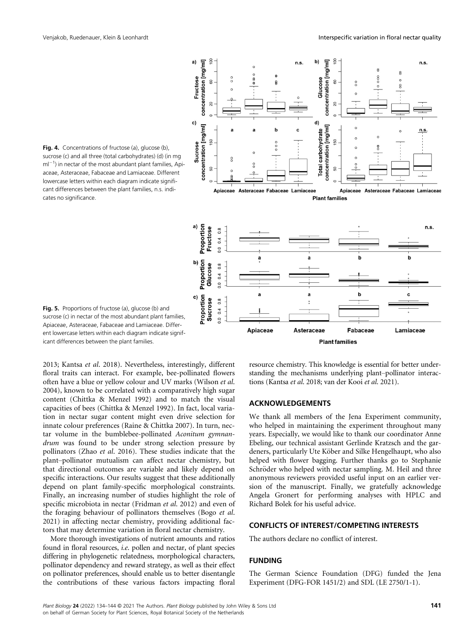

Fig. 4. Concentrations of fructose (a), glucose (b), sucrose (c) and all three (total carbohydrates) (d) (in mg  $ml^{-1}$ ) in nectar of the most abundant plant families, Apiaceae, Asteraceae, Fabaceae and Lamiaceae. Different lowercase letters within each diagram indicate significant differences between the plant families, n.s. indicates no significance.

Fig. 5. Proportions of fructose (a), glucose (b) and sucrose (c) in nectar of the most abundant plant families. Apiaceae, Asteraceae, Fabaceae and Lamiaceae. Different lowercase letters within each diagram indicate significant differences between the plant families.

2013; Kantsa et al. 2018). Nevertheless, interestingly, different floral traits can interact. For example, bee-pollinated flowers often have a blue or yellow colour and UV marks (Wilson et al. 2004), known to be correlated with a comparatively high sugar content (Chittka & Menzel 1992) and to match the visual capacities of bees (Chittka & Menzel 1992). In fact, local variation in nectar sugar content might even drive selection for innate colour preferences (Raine & Chittka 2007). In turn, nectar volume in the bumblebee-pollinated Aconitum gymnandrum was found to be under strong selection pressure by pollinators (Zhao et al. 2016). These studies indicate that the plant–pollinator mutualism can affect nectar chemistry, but that directional outcomes are variable and likely depend on specific interactions. Our results suggest that these additionally depend on plant family-specific morphological constraints. Finally, an increasing number of studies highlight the role of specific microbiota in nectar (Fridman et al. 2012) and even of the foraging behaviour of pollinators themselves (Bogo et al. 2021) in affecting nectar chemistry, providing additional factors that may determine variation in floral nectar chemistry.

More thorough investigations of nutrient amounts and ratios found in floral resources, i.e. pollen and nectar, of plant species differing in phylogenetic relatedness, morphological characters, pollinator dependency and reward strategy, as well as their effect on pollinator preferences, should enable us to better disentangle the contributions of these various factors impacting floral resource chemistry. This knowledge is essential for better understanding the mechanisms underlying plant–pollinator interactions (Kantsa et al. 2018; van der Kooi et al. 2021).

## ACKNOWLEDGEMENTS

We thank all members of the Jena Experiment community, who helped in maintaining the experiment throughout many years. Especially, we would like to thank our coordinator Anne Ebeling, our technical assistant Gerlinde Kratzsch and the gardeners, particularly Ute Köber and Silke Hengelhaupt, who also helped with flower bagging. Further thanks go to Stephanie Schröder who helped with nectar sampling. M. Heil and three anonymous reviewers provided useful input on an earlier version of the manuscript. Finally, we gratefully acknowledge Angela Gronert for performing analyses with HPLC and Richard Bolek for his useful advice.

## CONFLICTS OF INTEREST/COMPETING INTERESTS

The authors declare no conflict of interest.

# FUNDING

The German Science Foundation (DFG) funded the Jena Experiment (DFG-FOR 1451/2) and SDL (LE 2750/1-1).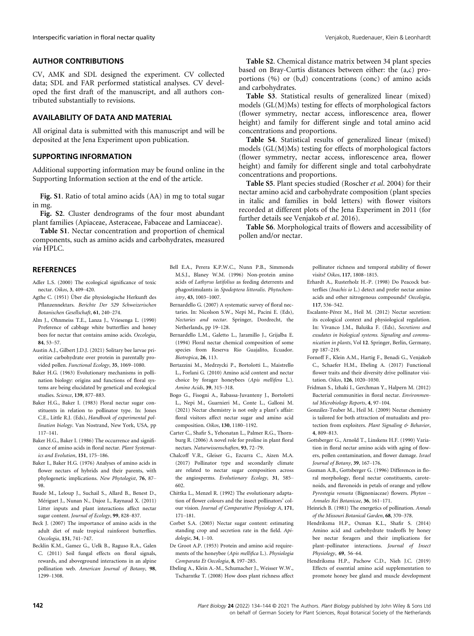## AUTHOR CONTRIBUTIONS

CV, AMK and SDL designed the experiment. CV collected data; SDL and FAR performed statistical analyses. CV developed the first draft of the manuscript, and all authors contributed substantially to revisions.

# AVAILABILITY OF DATA AND MATERIAL

All original data is submitted with this manuscript and will be deposited at the Jena Experiment upon publication.

## SUPPORTING INFORMATION

Additional supporting information may be found online in the Supporting Information section at the end of the article.

Fig. S1. Ratio of total amino acids (AA) in mg to total sugar in mg.

Fig. S2. Cluster dendrograms of the four most abundant plant families (Apiaceae, Asteraceae, Fabaceae and Lamiaceae).

Table S1. Nectar concentration and proportion of chemical components, such as amino acids and carbohydrates, measured via HPLC.

# **REFERENCES**

- Adler L.S. (2000) The ecological significance of toxic nectar. Oikos, 3, 409–420.
- Agthe C. (1951) Über die physiologische Herkunft des Pflanzennektars. Berichte Der 529 Schweizerischen Botanischen Gesellschaft, 61, 240–274.
- Alm J., Ohnmeiss T.E., Lanza J., Vriesenga L. (1990) Preference of cabbage white butterflies and honey bees for nectar that contains amino acids. Oecologia,
- 84, 53–57. Austin A.J., Gilbert J.D.J. (2021) Solitary bee larvae prioritize carbohydrate over protein in parentally provided pollen. Functional Ecology, 35, 1069–1080.
- Baker H.G. (1963) Evolutionary mechanisms in pollination biology: origins and functions of floral systems are being elucidated by genetical and ecological studies. Science, 139, 877–883.
- Baker H.G., Baker I. (1983) Floral nectar sugar constituents in relation to pollinator type. In: Jones C.E., Little R.J. (Eds), Handbook of experimental pollination biology. Van Nostrand, New York, USA, pp 117–141.
- Baker H.G., Baker I. (1986) The occurrence and significance of amino acids in floral nectar. Plant Systematics and Evolution, 151, 175–186.
- Baker I., Baker H.G. (1976) Analyses of amino acids in flower nectars of hybrids and their parents, with phylogenetic implications. New Phytologist, 76, 87– 98.
- Baude M., Leloup J., Suchail S., Allard B., Benest D., Mériguet J., Nunan N., Dajoz I., Raynaud X. (2011) Litter inputs and plant interactions affect nectar sugar content. Journal of Ecology, 99, 828–837.
- Beck J. (2007) The importance of amino acids in the adult diet of male tropical rainforest butterflies. Oecologia, 151, 741–747.
- Becklin K.M., Gamez G., Uelk B., Raguso R.A., Galen C. (2011) Soil fungal effects on floral signals, rewards, and aboveground interactions in an alpine pollination web. American Journal of Botany, 98, 1299–1308.
- Bell E.A., Perera K.P.W.C., Nunn P.B., Simmonds M.S.J., Blaney W.M. (1996) Non-protein amino acids of Lathyrus latifolius as feeding deterrents and phagostimulants in Spodoptera littoralis. Phytochemistry, 43, 1003–1007.
- Bernardello G. (2007) A systematic survey of floral nectaries. In: Nicolson S.W., Nepi M., Pacini E. (Eds), Nectaries and nectar. Springer, Dordrecht, the Netherlands, pp 19–128.
- Bernardello L.M., Galetto L., Jaramillo J., Grijalba E. (1994) Floral nectar chemical composition of some species from Reserva Rio Guajalito, Ecuador. Biotropica, 26, 113.
- Bertazzini M., Medrzycki P., Bortolotti L., Maistrello L., Forlani G. (2010) Amino acid content and nectar choice by forager honeybees (Apis mellifera L.). Amino Acids, 39, 315–318.
- Bogo G., Fisogni A., Rabassa-Juvanteny J., Bortolotti L., Nepi M., Guarnieri M., Conte L., Galloni M. (2021) Nectar chemistry is not only a plant's affair: floral visitors affect nectar sugar and amino acid composition. Oikos, 130, 1180–1192.

Carter C., Shafir S., Yehonatan L., Palmer R.G., Thornburg R. (2006) A novel role for proline in plant floral nectars. Naturwissenschaften, 93, 72–79.

- Chalcoff V.R., Gleiser G., Ezcurra C., Aizen M.A. (2017) Pollinator type and secondarily climate are related to nectar sugar composition across the angiosperms. Evolutionary Ecology, 31, 585– 602.
- Chittka L., Menzel R. (1992) The evolutionary adaptation of flower colours and the insect pollinators' colour vision. Journal of Comparative Physiology A, 171, 171–181.
- Corbet S.A. (2003) Nectar sugar content: estimating standing crop and secretion rate in the field. Apidologie, 34, 1–10.
- De Groot A.P. (1953) Protein and amino acid requirements of the honeybee (Apis mellifica L.). Physiologia Comparata Et Oecologia, 8, 197–285.
- Ebeling A., Klein A.-M., Schumacher J., Weisser W.W., Tscharntke T. (2008) How does plant richness affect

Table S2. Chemical distance matrix between 34 plant species based on Bray-Curtis distances between either: the (a,c) proportions (%) or (b,d) concentrations (conc) of amino acids and carbohydrates.

Table S3. Statistical results of generalized linear (mixed) models (GL(M)Ms) testing for effects of morphological factors (flower symmetry, nectar access, inflorescence area, flower height) and family for different single and total amino acid concentrations and proportions.

Table S4. Statistical results of generalized linear (mixed) models (GL(M)Ms) testing for effects of morphological factors (flower symmetry, nectar access, inflorescence area, flower height) and family for different single and total carbohydrate concentrations and proportions.

Table S5. Plant species studied (Roscher et al. 2004) for their nectar amino acid and carbohydrate composition (plant species in italic and families in bold letters) with flower visitors recorded at different plots of the Jena Experiment in 2011 (for further details see Venjakob et al. 2016).

Table S6. Morphological traits of flowers and accessibility of pollen and/or nectar.

pollinator richness and temporal stability of flower

- visits? Oikos, 117, 1808–1815. Erhardt A., Rusterholz H.-P. (1998) Do Peacock butterflies (Inachis io L.) detect and prefer nectar amino acids and other nitrogenous compounds? Oecologia, 117, 536–542.
- Escalante-Pérez M., Heil M. (2012) Nectar secretion: its ecological context and physiological regulation. In: Vivanco J.M., Baluska F. (Eds), Secretions and exudates in biological systems. Signaling and communication in plants, Vol 12. Springer, Berlin, Germany, pp 187–219.
- Fornoff F., Klein A.M., Hartig F., Benadi G., Venjakob C., Schaefer H.M., Ebeling A. (2017) Functional flower traits and their diversity drive pollinator visitation. Oikos, 126, 1020–1030.
- Fridman S., Izhaki I., Gerchman Y., Halpern M. (2012) Bacterial communities in floral nectar. Environmental Microbiology Reports, 4, 97–104.
- González-Teuber M., Heil M. (2009) Nectar chemistry is tailored for both attraction of mutualists and protection from exploiters. Plant Signaling & Behavior, 4, 809–813.
- Gottsberger G., Arnold T., Linskens H.F. (1990) Variation in floral nectar amino acids with aging of flowers, pollen contamination, and flower damage. Israel Journal of Botany, 39, 167–176.
- Gusman A.B., Gottsberger G. (1996) Differences in floral morphology, floral nectar constituents, carotenoids, and flavonoids in petals of orange and yellow Pyrostegia venusta (Bignoniaceae) flowers. Phyton – Annales Rei Botanicae, 36, 161–171.
- Heinrich B. (1981) The energetics of pollination. Annals of the Missouri Botanical Garden, 68, 370–378.
- Hendriksma H.P., Oxman K.L., Shafir S. (2014) Amino acid and carbohydrate tradeoffs by honey bee nectar foragers and their implications for plant–pollinator interactions. Journal of Insect Physiology, 69, 56–64.
- Hendriksma H.P., Pachow C.D., Nieh J.C. (2019) Effects of essential amino acid supplementation to promote honey bee gland and muscle development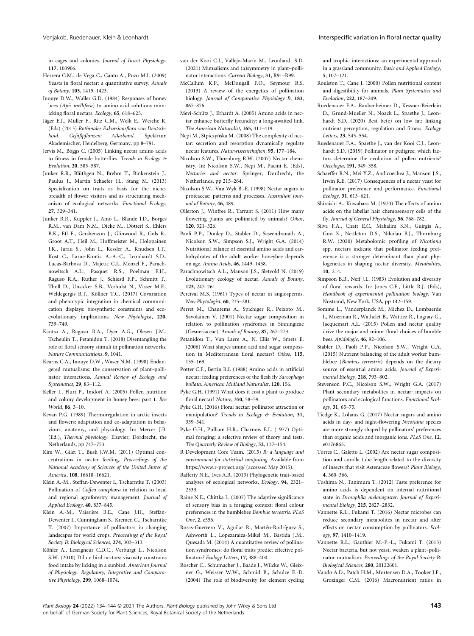in cages and colonies. Journal of Insect Physiology,

- 117, 103906. Herrera C.M., de Vega C., Canto A., Pozo M.I. (2009) Yeasts in floral nectar: a quantitative survey. Annals of Botany, 103, 1415–1423.
- Inouye D.W., Waller G.D. (1984) Responses of honey bees (Apis mellifera) to amino acid solutions mimicking floral nectars. Ecology, 65, 618–625.
- Jäger E.J., Müller F., Ritz C.M., Welk E., Wesche K. (Eds) (2013) Rothmaler Exkursionsflora von Deutschland. Gefäßpflanzen: Atlasband. Spektrum Akademischer, Heidelberg, Germany, pp 8–791.
- Jervis M., Boggs C. (2005) Linking nectar amino acids to fitness in female butterflies. Trends in Ecology & Evolution, 20, 585–587.
- Junker R.R., Blüthgen N., Brehm T., Binkenstein J., Paulus J., Martin Schaefer H., Stang M. (2013) Specialization on traits as basis for the nichebreadth of flower visitors and as structuring mechanism of ecological networks. Functional Ecology, 27, 329–341.
- Junker R.R., Kuppler J., Amo L., Blande J.D., Borges R.M., van Dam N.M., Dicke M., Dötterl S., Ehlers B.K., Etl F., Gershenzon J., Glinwood R., Gols R., Groot A.T., Heil M., Hoffmeister M., Holopainen J.K., Jarau S., John L., Kessler A., Knudsen J.T., Kost C., Larue-Kontic A.-A.-C., Leonhardt S.D., Lucas-Barbosa D., Majetic C.J., Menzel F., Parachnowitsch A.L., Pasquet R.S., Poelman E.H., Raguso R.A., Ruther J., Schiestl F.P., Schmitt T., Tholl D., Unsicker S.B., Verhulst N., Visser M.E., Weldegergis B.T., Köllner T.G. (2017) Covariation and phenotypic integration in chemical communication displays: biosynthetic constraints and ecoevolutionary implications. New Phytologist, 220, 739–749.
- Kantsa A., Raguso R.A., Dyer A.G., Olesen J.M., Tscheulin T., Petanidou T. (2018) Disentangling the role of floral sensory stimuli in pollination networks. Nature Communications, 9, 1041.
- Kearns C.A., Inouye D.W., Waser N.M. (1998) Endangered mutualisms: the conservation of plant–pollinator interactions. Annual Review of Ecology and
- Systematics, 29, 83–112. Keller I., Fluri P., Imdorf A. (2005) Pollen nutrition and colony development in honey bees: part 1. Bee World, 86, 3–10.
- Kevan P.G. (1989) Thermoregulation in arctic insects and flowers: adaptation and co-adaptation in behaviour, anatomy, and physiology. In: Mercer J.B. (Ed.), Thermal physiology. Elsevier, Dordrecht, the Netherlands, pp 747–753.
- Kim W., Gilet T., Bush J.W.M. (2011) Optimal concentrations in nectar feeding. Proceedings of the National Academy of Sciences of the United States of America, 108, 16618–16621.
- Klein A.-M., Steffan-Dewenter I., Tscharntke T. (2003) Pollination of Coffea canephora in relation to local and regional agroforestry management. Journal of Applied Ecology, 40, 837–845.
- Klein A.-M., Vaissiere B.E., Cane J.H., Steffan-Dewenter I., Cunningham S., Kremen C., Tscharntke T. (2007) Importance of pollinators in changing landscapes for world crops. Proceedings of the Royal Society B: Biological Sciences, 274, 303–313.
- Köhler A., Leseigneur C.D.C., Verburgt L., Nicolson S.W. (2010) Dilute bird nectars: viscosity constrains food intake by licking in a sunbird. American Journal of Physiology. Regulatory, Integrative and Comparative Physiology, 299, 1068–1074.
- van der Kooi C.J., Vallejo-Marín M., Leonhardt S.D. (2021) Mutualisms and (a)symmetry in plant–pollinator interactions. Current Biology, 31, R91–R99.
- McCallum K.P., McDougall F.O., Seymour R.S. (2013) A review of the energetics of pollination biology. Journal of Comparative Physiology B, 183, 867–876.
- Mevi-Schütz L. Erhardt A. (2005) Amino acids in nectar enhance butterfly fecundity: a long-awaited link. The American Naturalist, 165, 411–419.
- Nepi M., Stpiczyńska M. (2008) The complexity of nectar: secretion and resorption dynamically regulate nectar features. Naturwissenschaften, 95, 177–184.
- Nicolson S.W., Thornburg R.W. (2007) Nectar chemistry. In: Nicolson S.W., Nepi M., Pacini E. (Eds), Nectaries and nectar. Springer, Dordrecht, the Netherlands, pp 215–264.
- Nicolson S.W., Van Wyk B.-E. (1998) Nectar sugars in proteaceae: patterns and processes. Australian Journal of Botany, 46, 489.
- Ollerton J., Winfree R., Tarrant S. (2011) How many flowering plants are pollinated by animals? Oikos, 120, 321–326.
- Paoli P.P., Donley D., Stabler D., Saseendranath A., Nicolson S.W., Simpson S.J., Wright G.A. (2014) Nutritional balance of essential amino acids and carbohydrates of the adult worker honeybee depends on age. Amino Acids, 46, 1449–1458.
- Parachnowitsch A.L., Manson J.S., Sletvold N. (2019) Evolutionary ecology of nectar. Annals of Botany, 123, 247–261.
- Percival M.S. (1961) Types of nectar in angiosperms. New Phytologist, 60, 235–281.
- Perret M., Chautems A., Spichiger R., Peixoto M., Savolainen V. (2001) Nectar sugar composition in relation to pollination syndromes in Sinningieae (Gesneriaceae). Annals of Botany, 87, 267–273.
- Petanidou T., Van Laere A., N. Ellis W., Smets E. (2006) What shapes amino acid and sugar composition in Mediterranean floral nectars? Oikos, 115, 155–169.
- Potter C.F., Bertin R.I. (1988) Amino acids in artificial nectar: feeding preferences of the flesh fly Sarcophaga
- bullata. American Midland Naturalist, 120, 156. Pyke G.H. (1991) What does it cost a plant to produce floral nectar? Nature, 350, 58–59.
- Pyke G.H. (2016) Floral nectar: pollinator attraction or manipulation? Trends in Ecology & Evolution, 31, 339–341.
- Pyke G.H., Pulliam H.R., Charnow E.L. (1977) Optimal foraging: a selective review of theory and tests. The Quarterly Review of Biology, 52, 137–154.
- R Development Core Team. (2015) R: a language and environment for statistical computing. Available from [https://www.r-project.org/](http://www.r-project.org) (accessed May 2015).
- Rafferty N.E., Ives A.R. (2013) Phylogenetic trait-based analyses of ecological networks. Ecology, 94, 2321– 2333.
- Raine N.E., Chittka L. (2007) The adaptive significance of sensory bias in a foraging context: floral colour preferences in the bumblebee Bombus terrestris. PLoS One, 2, e556.
- Rosas-Guerrero V., Aguilar R., Martén-Rodríguez S., Ashworth L., Lopezaraiza-Mikel M., Bastida J.M., Quesada M. (2014) A quantitative review of pollination syndromes: do floral traits predict effective pollinators? Ecology Letters, 17, 388–400.
- Roscher C., Schumacher J., Baade J., Wilcke W., Gleixner G., Weisser W.W., Schmid B., Schulze E.-D. (2004) The role of biodiversity for element cycling

and trophic interactions: an experimental approach in a grassland community. Basic and Applied Ecology, 5, 107–121.

- Roulston T., Cane J. (2000) Pollen nutritional content and digestibility for animals. Plant Systematics and Evolution, 222, 187–209.
- Ruedenauer F.A., Raubenheimer D., Kessner-Beierlein D., Grund-Mueller N., Noack L., Spaethe J., Leonhardt S.D. (2020) Best be(e) on low fat: linking nutrient perception, regulation and fitness. Ecology Letters, 23, 545–554.
- Ruedenauer F.A., Spaethe J., van der Kooi C.J., Leonhardt S.D. (2019) Pollinator or pedigree: which factors determine the evolution of pollen nutrients? Oecologia, 191, 349–358.
- Schaeffer R.N., Mei Y.Z., Andicoechea J., Manson J.S., Irwin R.E. (2017) Consequences of a nectar yeast for pollinator preference and performance. Functional Ecology, 31, 613–621.
- Shiraishi A., Kuwabara M. (1970) The effects of amino acids on the labellar hair chemosensory cells of the fly. Journal of General Physiology, 56, 768–782.
- Silva F.A., Chatt E.C., Mahalim S.N., Guirgis A., Guo X., Nettleton D.S., Nikolau B.J., Thornburg R.W. (2020) Metabolomic profiling of Nicotiana spp. nectars indicate that pollinator feeding preference is a stronger determinant than plant phylogenetics in shaping nectar diversity. Metabolites, 10, 214.
- Simpson B.B., Neff J.L. (1983) Evolution and diversity of floral rewards. In: Jones C.E., Little R.J. (Eds), Handbook of experimental pollination biology. Van Nostrand, New York, USA, pp 142–159.
- Somme L., Vanderplanck M., Michez D., Lombaerde I., Moerman R., Wathelet B., Wattiez R., Lognay G., Jacquemart A.L. (2015) Pollen and nectar quality drive the major and minor floral choices of bumble bees. Apidologie, 46, 92–106.
- Stabler D., Paoli P.P., Nicolson S.W., Wright G.A. (2015) Nutrient balancing of the adult worker bumblebee (Bombus terrestris) depends on the dietary source of essential amino acids. Journal of Experimental Biology, 218, 793–802.
- Stevenson P.C., Nicolson S.W., Wright G.A. (2017). Plant secondary metabolites in nectar: impacts on pollinators and ecological functions. Functional Ecology, 31, 65–75.
- Tiedge K., Lohaus G. (2017) Nectar sugars and amino acids in day- and night-flowering Nicotiana species are more strongly shaped by pollinators' preferences than organic acids and inorganic ions. PLoS One, 12, e0176865.
- Torres C., Galetto L. (2002) Are nectar sugar composition and corolla tube length related to the diversity of insects that visit Asteraceae flowers? Plant Biology, 4, 360–366.
- Toshima N., Tanimura T. (2012) Taste preference for amino acids is dependent on internal nutritional state in Drosophila melanogaster. Journal of Experimental Biology, 215, 2827–2832.
- Vannette R.L., Fukami T. (2016) Nectar microbes can reduce secondary metabolites in nectar and alter effects on nectar consumption by pollinators. Ecology, 97, 1410–1419.
- Vannette R.L., Gauthier M.-P.-L., Fukami T. (2013) Nectar bacteria, but not yeast, weaken a plant–pollinator mutualism. Proceedings of the Royal Society B: Biological Sciences, 280, 20122601.
- Vaudo A.D., Patch H.M., Mortensen D.A., Tooker J.F., Grozinger C.M. (2016) Macronutrient ratios in